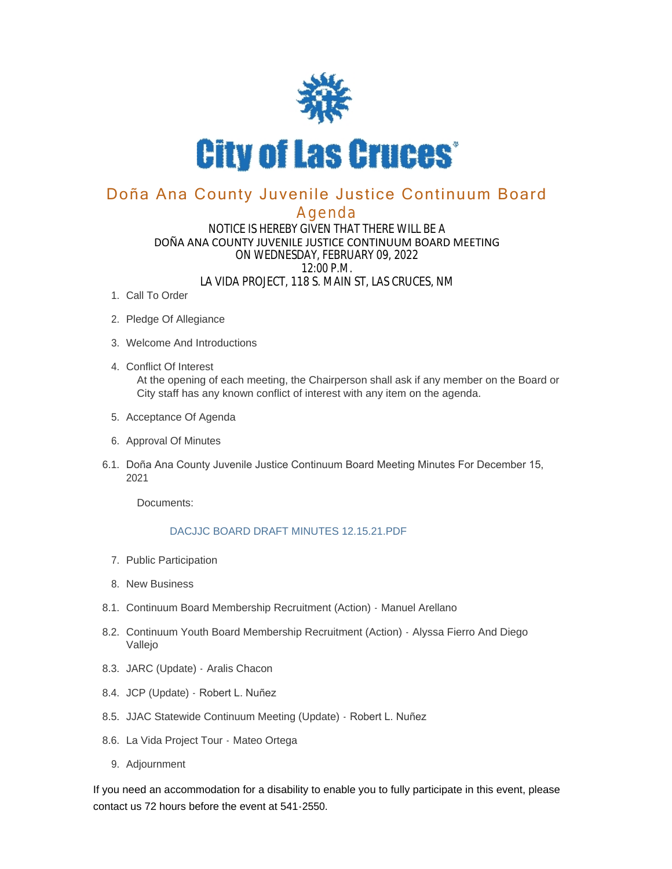

# Doña Ana County Juvenile Justice Continuum Board

### Agenda

#### NOTICE IS HEREBY GIVEN THAT THERE WILL BE A DOÑA ANA COUNTY JUVENILE JUSTICE CONTINUUM BOARD MEETING ON WEDNESDAY, FEBRUARY 09, 2022 12:00 P.M. LA VIDA PROJECT, 118 S. MAIN ST, LAS CRUCES, NM

- 1. Call To Order
- 2. Pledge Of Allegiance
- Welcome And Introductions 3.
- Conflict Of Interest 4. At the opening of each meeting, the Chairperson shall ask if any member on the Board or City staff has any known conflict of interest with any item on the agenda.
- 5. Acceptance Of Agenda
- 6. Approval Of Minutes
- 6.1. Doña Ana County Juvenile Justice Continuum Board Meeting Minutes For December 15, 2021

Documents:

#### DACJJC BOARD DRAFT MINUTES 12.15.21.PDF

- 7. Public Participation
- 8. New Business
- 8.1. Continuum Board Membership Recruitment (Action) Manuel Arellano
- 8.2. Continuum Youth Board Membership Recruitment (Action) Alyssa Fierro And Diego Vallejo
- 8.3. JARC (Update) Aralis Chacon
- 8.4. JCP (Update) Robert L. Nuñez
- 8.5. JJAC Statewide Continuum Meeting (Update) Robert L. Nuñez
- 8.6. La Vida Project Tour Mateo Ortega
- 9. Adjournment

If you need an accommodation for a disability to enable you to fully participate in this event, please contact us 72 hours before the event at 541-2550.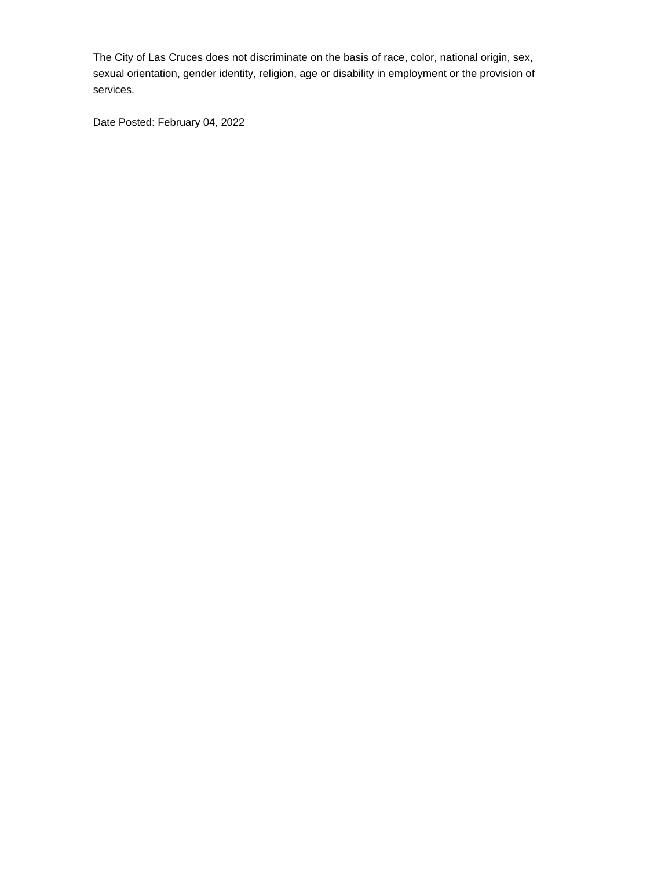The City of Las Cruces does not discriminate on the basis of race, color, national origin, sex, sexual orientation, gender identity, religion, age or disability in employment or the provision of services.

Date Posted: February 04, 2022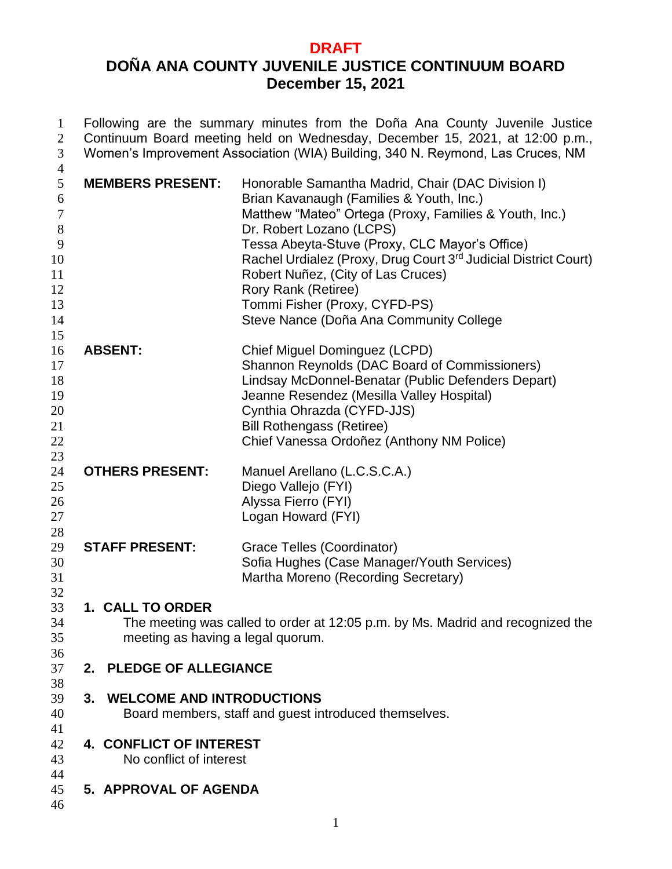## **DRAFT DOÑA ANA COUNTY JUVENILE JUSTICE CONTINUUM BOARD December 15, 2021**

| $\mathbf{1}$<br>$\overline{c}$<br>3                                                            |                                                       | Following are the summary minutes from the Doña Ana County Juvenile Justice<br>Continuum Board meeting held on Wednesday, December 15, 2021, at 12:00 p.m.,<br>Women's Improvement Association (WIA) Building, 340 N. Reymond, Las Cruces, NM                                                                                                                                                                                                     |
|------------------------------------------------------------------------------------------------|-------------------------------------------------------|---------------------------------------------------------------------------------------------------------------------------------------------------------------------------------------------------------------------------------------------------------------------------------------------------------------------------------------------------------------------------------------------------------------------------------------------------|
| $\overline{4}$<br>5<br>6<br>$\boldsymbol{7}$<br>$8\,$<br>9<br>10<br>11<br>12<br>13<br>14<br>15 | <b>MEMBERS PRESENT:</b>                               | Honorable Samantha Madrid, Chair (DAC Division I)<br>Brian Kavanaugh (Families & Youth, Inc.)<br>Matthew "Mateo" Ortega (Proxy, Families & Youth, Inc.)<br>Dr. Robert Lozano (LCPS)<br>Tessa Abeyta-Stuve (Proxy, CLC Mayor's Office)<br>Rachel Urdialez (Proxy, Drug Court 3rd Judicial District Court)<br>Robert Nuñez, (City of Las Cruces)<br>Rory Rank (Retiree)<br>Tommi Fisher (Proxy, CYFD-PS)<br>Steve Nance (Doña Ana Community College |
| 16<br>17<br>18<br>19<br>20<br>21<br>22<br>23                                                   | <b>ABSENT:</b>                                        | Chief Miguel Dominguez (LCPD)<br>Shannon Reynolds (DAC Board of Commissioners)<br>Lindsay McDonnel-Benatar (Public Defenders Depart)<br>Jeanne Resendez (Mesilla Valley Hospital)<br>Cynthia Ohrazda (CYFD-JJS)<br><b>Bill Rothengass (Retiree)</b><br>Chief Vanessa Ordoñez (Anthony NM Police)                                                                                                                                                  |
| 24<br>25<br>26<br>27<br>28                                                                     | <b>OTHERS PRESENT:</b>                                | Manuel Arellano (L.C.S.C.A.)<br>Diego Vallejo (FYI)<br>Alyssa Fierro (FYI)<br>Logan Howard (FYI)                                                                                                                                                                                                                                                                                                                                                  |
| 29<br>30<br>31<br>32                                                                           | <b>STAFF PRESENT:</b>                                 | Grace Telles (Coordinator)<br>Sofia Hughes (Case Manager/Youth Services)<br>Martha Moreno (Recording Secretary)                                                                                                                                                                                                                                                                                                                                   |
| 33<br>34<br>35<br>36                                                                           | 1. CALL TO ORDER<br>meeting as having a legal quorum. | The meeting was called to order at 12:05 p.m. by Ms. Madrid and recognized the                                                                                                                                                                                                                                                                                                                                                                    |
| 37<br>38                                                                                       | 2. PLEDGE OF ALLEGIANCE                               |                                                                                                                                                                                                                                                                                                                                                                                                                                                   |
| 39<br>40<br>41                                                                                 | <b>WELCOME AND INTRODUCTIONS</b><br>3.                | Board members, staff and guest introduced themselves.                                                                                                                                                                                                                                                                                                                                                                                             |
| 42<br>43                                                                                       | 4. CONFLICT OF INTEREST<br>No conflict of interest    |                                                                                                                                                                                                                                                                                                                                                                                                                                                   |
| 44<br>45<br>46                                                                                 | 5. APPROVAL OF AGENDA                                 |                                                                                                                                                                                                                                                                                                                                                                                                                                                   |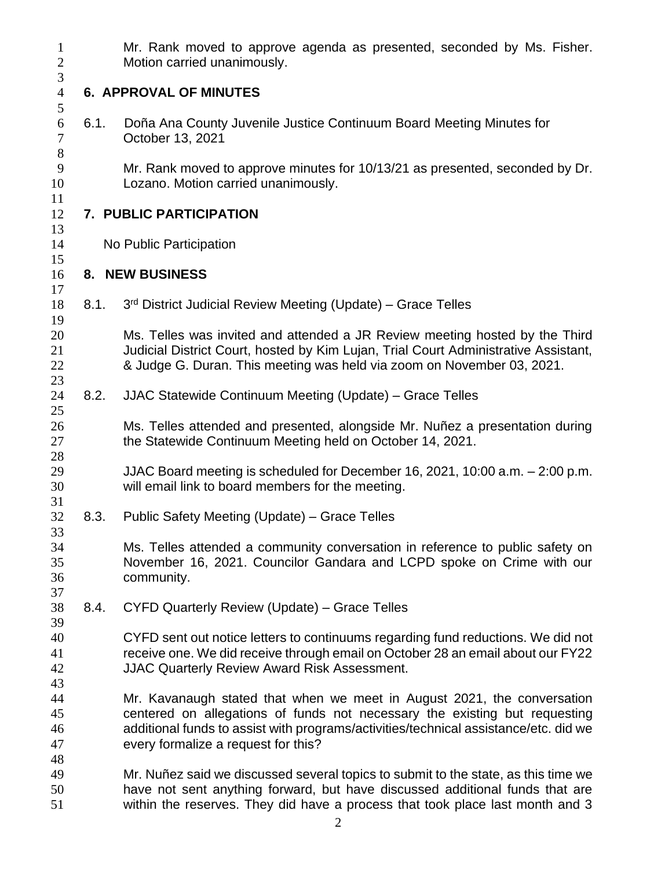| $\mathbf{1}$<br>$\mathbf{2}$          |      | Mr. Rank moved to approve agenda as presented, seconded by Ms. Fisher.<br>Motion carried unanimously.                                                                                                                                                                                |
|---------------------------------------|------|--------------------------------------------------------------------------------------------------------------------------------------------------------------------------------------------------------------------------------------------------------------------------------------|
| $\mathfrak{Z}$<br>$\overline{4}$<br>5 |      | <b>6. APPROVAL OF MINUTES</b>                                                                                                                                                                                                                                                        |
| 6<br>$\boldsymbol{7}$                 | 6.1. | Doña Ana County Juvenile Justice Continuum Board Meeting Minutes for<br>October 13, 2021                                                                                                                                                                                             |
| $8\,$<br>9<br>10                      |      | Mr. Rank moved to approve minutes for 10/13/21 as presented, seconded by Dr.<br>Lozano. Motion carried unanimously.                                                                                                                                                                  |
| 11<br>12                              |      | 7. PUBLIC PARTICIPATION                                                                                                                                                                                                                                                              |
| 13<br>14                              |      | No Public Participation                                                                                                                                                                                                                                                              |
| 15<br>16                              |      | 8. NEW BUSINESS                                                                                                                                                                                                                                                                      |
| 17<br>18                              | 8.1. | 3rd District Judicial Review Meeting (Update) - Grace Telles                                                                                                                                                                                                                         |
| 19<br>20<br>21<br>22<br>23            |      | Ms. Telles was invited and attended a JR Review meeting hosted by the Third<br>Judicial District Court, hosted by Kim Lujan, Trial Court Administrative Assistant,<br>& Judge G. Duran. This meeting was held via zoom on November 03, 2021.                                         |
| 24<br>25                              | 8.2. | JJAC Statewide Continuum Meeting (Update) – Grace Telles                                                                                                                                                                                                                             |
| 26<br>27                              |      | Ms. Telles attended and presented, alongside Mr. Nuñez a presentation during<br>the Statewide Continuum Meeting held on October 14, 2021.                                                                                                                                            |
| 28<br>29<br>30                        |      | JJAC Board meeting is scheduled for December 16, 2021, 10:00 a.m. - 2:00 p.m.<br>will email link to board members for the meeting.                                                                                                                                                   |
| 31<br>32<br>33                        | 8.3. | Public Safety Meeting (Update) – Grace Telles                                                                                                                                                                                                                                        |
| 34<br>35<br>36                        |      | Ms. Telles attended a community conversation in reference to public safety on<br>November 16, 2021. Councilor Gandara and LCPD spoke on Crime with our<br>community.                                                                                                                 |
| 37<br>38                              | 8.4. | CYFD Quarterly Review (Update) - Grace Telles                                                                                                                                                                                                                                        |
| 39<br>40<br>41<br>42<br>43            |      | CYFD sent out notice letters to continuums regarding fund reductions. We did not<br>receive one. We did receive through email on October 28 an email about our FY22<br>JJAC Quarterly Review Award Risk Assessment.                                                                  |
| 44<br>45<br>46<br>47<br>48            |      | Mr. Kavanaugh stated that when we meet in August 2021, the conversation<br>centered on allegations of funds not necessary the existing but requesting<br>additional funds to assist with programs/activities/technical assistance/etc. did we<br>every formalize a request for this? |
| 49<br>50<br>51                        |      | Mr. Nuñez said we discussed several topics to submit to the state, as this time we<br>have not sent anything forward, but have discussed additional funds that are<br>within the reserves. They did have a process that took place last month and 3                                  |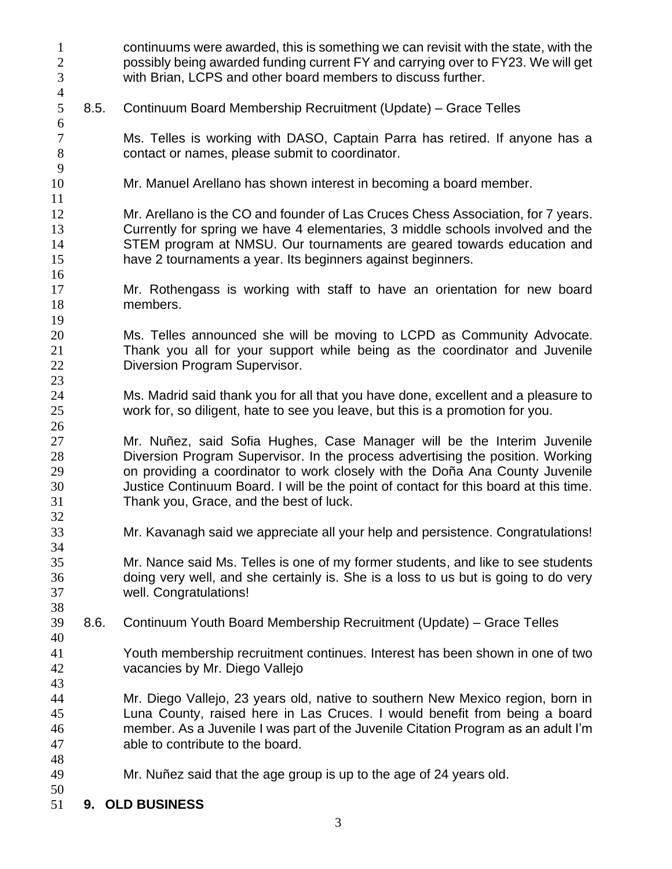| $\mathbf{1}$                      |      | continuums were awarded, this is something we can revisit with the state, with the                                                                                                                                                                                                                                                                                           |
|-----------------------------------|------|------------------------------------------------------------------------------------------------------------------------------------------------------------------------------------------------------------------------------------------------------------------------------------------------------------------------------------------------------------------------------|
| $\overline{2}$<br>3               |      | possibly being awarded funding current FY and carrying over to FY23. We will get<br>with Brian, LCPS and other board members to discuss further.                                                                                                                                                                                                                             |
| $\overline{4}$<br>5<br>$\sqrt{6}$ | 8.5. | Continuum Board Membership Recruitment (Update) – Grace Telles                                                                                                                                                                                                                                                                                                               |
| $\overline{7}$<br>$8\,$<br>9      |      | Ms. Telles is working with DASO, Captain Parra has retired. If anyone has a<br>contact or names, please submit to coordinator.                                                                                                                                                                                                                                               |
| 10<br>11                          |      | Mr. Manuel Arellano has shown interest in becoming a board member.                                                                                                                                                                                                                                                                                                           |
| 12<br>13<br>14<br>15<br>16        |      | Mr. Arellano is the CO and founder of Las Cruces Chess Association, for 7 years.<br>Currently for spring we have 4 elementaries, 3 middle schools involved and the<br>STEM program at NMSU. Our tournaments are geared towards education and<br>have 2 tournaments a year. Its beginners against beginners.                                                                  |
| 17<br>18<br>19                    |      | Mr. Rothengass is working with staff to have an orientation for new board<br>members.                                                                                                                                                                                                                                                                                        |
| 20<br>21<br>22<br>23              |      | Ms. Telles announced she will be moving to LCPD as Community Advocate.<br>Thank you all for your support while being as the coordinator and Juvenile<br>Diversion Program Supervisor.                                                                                                                                                                                        |
| 24<br>25<br>26                    |      | Ms. Madrid said thank you for all that you have done, excellent and a pleasure to<br>work for, so diligent, hate to see you leave, but this is a promotion for you.                                                                                                                                                                                                          |
| 27<br>28<br>29<br>30<br>31        |      | Mr. Nuñez, said Sofia Hughes, Case Manager will be the Interim Juvenile<br>Diversion Program Supervisor. In the process advertising the position. Working<br>on providing a coordinator to work closely with the Doña Ana County Juvenile<br>Justice Continuum Board. I will be the point of contact for this board at this time.<br>Thank you, Grace, and the best of luck. |
| 32<br>33                          |      | Mr. Kavanagh said we appreciate all your help and persistence. Congratulations!                                                                                                                                                                                                                                                                                              |
| 34<br>35<br>36<br>37<br>38        |      | Mr. Nance said Ms. Telles is one of my former students, and like to see students<br>doing very well, and she certainly is. She is a loss to us but is going to do very<br>well. Congratulations!                                                                                                                                                                             |
| 39<br>40                          | 8.6. | Continuum Youth Board Membership Recruitment (Update) – Grace Telles                                                                                                                                                                                                                                                                                                         |
| 41<br>42<br>43                    |      | Youth membership recruitment continues. Interest has been shown in one of two<br>vacancies by Mr. Diego Vallejo                                                                                                                                                                                                                                                              |
| 44<br>45<br>46<br>47              |      | Mr. Diego Vallejo, 23 years old, native to southern New Mexico region, born in<br>Luna County, raised here in Las Cruces. I would benefit from being a board<br>member. As a Juvenile I was part of the Juvenile Citation Program as an adult I'm<br>able to contribute to the board.                                                                                        |
| 48<br>49<br>50                    |      | Mr. Nuñez said that the age group is up to the age of 24 years old.                                                                                                                                                                                                                                                                                                          |
| 51                                |      | 9. OLD BUSINESS                                                                                                                                                                                                                                                                                                                                                              |